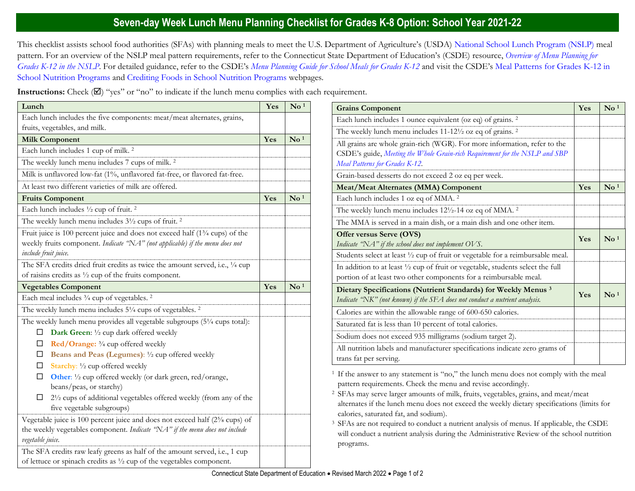## **Seven-day Week Lunch Menu Planning Checklist for Grades K-8 Option: School Year 2021-22**

This checklist assists school food authorities (SFAs) with planning meals to meet the U.S. Department of Agriculture's (USDA) [National School Lunch Program \(NSLP\)](https://portal.ct.gov/SDE/Nutrition/National-School-Lunch-Program) meal pattern. For an overview of the NSLP meal pattern requirements, refer to the Connecticut State Department of Education's (CSDE) resource, *[Overview of Menu Planning for](https://portal.ct.gov/-/media/SDE/Nutrition/NSLP/MealPattern/Overview_Menu_Planning_NSLP_grades_K-12.pdf)  [Grades K-12 in the NSLP](https://portal.ct.gov/-/media/SDE/Nutrition/NSLP/MealPattern/Overview_Menu_Planning_NSLP_grades_K-12.pdf)*. For detailed guidance, refer to the CSDE's *[Menu Planning Guide for School Meals for Grades K-12](https://portal.ct.gov/SDE/Nutrition/Menu-Planning-Guide-for-School-Meals)* and visit the CSDE's [Meal Patterns for Grades K-12 in](https://portal.ct.gov/SDE/Nutrition/Meal-Patterns-School-Nutrition-Programs)  [School Nutrition Programs](https://portal.ct.gov/SDE/Nutrition/Meal-Patterns-School-Nutrition-Programs) and [Crediting Foods in School Nutrition Programs](https://portal.ct.gov/SDE/Nutrition/Crediting-Foods-in-School-Nutrition-Programs) webpages*.*

**Instructions:** Check  $(\mathbb{Z})$  "yes" or "no" to indicate if the lunch menu complies with each requirement.

| Lunch                                                                                                                                                                                          | Yes | $\mathbf{N}\mathbf{o}$ <sup>1</sup> |
|------------------------------------------------------------------------------------------------------------------------------------------------------------------------------------------------|-----|-------------------------------------|
| Each lunch includes the five components: meat/meat alternates, grains,                                                                                                                         |     |                                     |
| fruits, vegetables, and milk.                                                                                                                                                                  |     |                                     |
| <b>Milk Component</b>                                                                                                                                                                          | Yes | $\mathbf{N}\mathbf{o}$ <sup>1</sup> |
| Each lunch includes 1 cup of milk. <sup>2</sup>                                                                                                                                                |     |                                     |
| The weekly lunch menu includes 7 cups of milk. <sup>2</sup>                                                                                                                                    |     |                                     |
| Milk is unflavored low-fat (1%, unflavored fat-free, or flavored fat-free.                                                                                                                     |     |                                     |
| At least two different varieties of milk are offered.                                                                                                                                          |     |                                     |
| <b>Fruits Component</b>                                                                                                                                                                        | Yes | $\mathbf{N}\mathbf{o}$ <sup>1</sup> |
| Each lunch includes 1/2 cup of fruit. <sup>2</sup>                                                                                                                                             |     |                                     |
| The weekly lunch menu includes 3 <sup>1</sup> / <sub>2</sub> cups of fruit. <sup>2</sup>                                                                                                       |     |                                     |
| Fruit juice is 100 percent juice and does not exceed half $(1\frac{3}{4}$ cups) of the<br>weekly fruits component. Indicate "NA" (not applicable) if the menu does not<br>include fruit juice. |     |                                     |
| The SFA credits dried fruit credits as twice the amount served, i.e., 1/4 cup                                                                                                                  |     |                                     |
| of raisins credits as $\frac{1}{2}$ cup of the fruits component.                                                                                                                               |     |                                     |
| <b>Vegetables Component</b>                                                                                                                                                                    | Yes | $\overline{\text{No}}$ <sup>1</sup> |
| Each meal includes 3/4 cup of vegetables. <sup>2</sup>                                                                                                                                         |     |                                     |
| The weekly lunch menu includes 51/4 cups of vegetables. <sup>2</sup>                                                                                                                           |     |                                     |
| The weekly lunch menu provides all vegetable subgroups (5 <sup>1</sup> /4 cups total):                                                                                                         |     |                                     |
| Dark Green: 1/2 cup dark offered weekly<br>ப                                                                                                                                                   |     |                                     |
| Red/Orange: 3/4 cup offered weekly<br>□                                                                                                                                                        |     |                                     |
| Beans and Peas (Legumes): 1/2 cup offered weekly<br>⊔                                                                                                                                          |     |                                     |
| Starchy: 1/2 cup offered weekly<br>□                                                                                                                                                           |     |                                     |
| □<br>Other: 1/2 cup offered weekly (or dark green, red/orange,<br>beans/peas, or starchy)                                                                                                      |     |                                     |
| 21/2 cups of additional vegetables offered weekly (from any of the<br>□<br>five vegetable subgroups)                                                                                           |     |                                     |
| Vegetable juice is 100 percent juice and does not exceed half (2 <sup>5</sup> /s cups) of                                                                                                      |     |                                     |
| the weekly vegetables component. Indicate "NA" if the menu does not include<br>vegetable juice.                                                                                                |     |                                     |
| The SFA credits raw leafy greens as half of the amount served, i.e., 1 cup<br>of lettuce or spinach credits as $\frac{1}{2}$ cup of the vegetables component.                                  |     |                                     |

| <b>Grains Component</b>                                                                                                                                                                    | Yes | $\mathbf{N}\mathbf{o}$ <sup>1</sup> |
|--------------------------------------------------------------------------------------------------------------------------------------------------------------------------------------------|-----|-------------------------------------|
| Each lunch includes 1 ounce equivalent (oz eq) of grains. <sup>2</sup>                                                                                                                     |     |                                     |
| The weekly lunch menu includes $11-12\frac{1}{2}$ oz eq of grains. <sup>2</sup>                                                                                                            |     |                                     |
| All grains are whole grain-rich (WGR). For more information, refer to the<br>CSDE's guide, Meeting the Whole Grain-rich Requirement for the NSLP and SBP<br>Meal Patterns for Grades K-12. |     |                                     |
| Grain-based desserts do not exceed 2 oz eq per week.                                                                                                                                       |     |                                     |
| <b>Meat/Meat Alternates (MMA) Component</b>                                                                                                                                                | Yes | $\mathrm{No}$ <sup>1</sup>          |
| Each lunch includes 1 oz eq of MMA. <sup>2</sup>                                                                                                                                           |     |                                     |
| The weekly lunch menu includes 12 <sup>1</sup> / <sub>2</sub> -14 oz eq of MMA. <sup>2</sup>                                                                                               |     |                                     |
| The MMA is served in a main dish, or a main dish and one other item.                                                                                                                       |     |                                     |
| Offer versus Serve (OVS)<br>Indicate "NA" if the school does not implement OVS.                                                                                                            | Yes | $\mathrm{No}^{1}$                   |
| Students select at least 1/2 cup of fruit or vegetable for a reimbursable meal.                                                                                                            |     |                                     |
| In addition to at least 1/2 cup of fruit or vegetable, students select the full<br>portion of at least two other components for a reimbursable meal.                                       |     |                                     |
| Dietary Specifications (Nutrient Standards) for Weekly Menus <sup>3</sup><br>Indicate "NK" (not known) if the SFA does not conduct a nutrient analysis.                                    | Yes | $\mathbf{N}\mathbf{o}$ <sup>1</sup> |
| Calories are within the allowable range of 600-650 calories.                                                                                                                               |     |                                     |
| Saturated fat is less than 10 percent of total calories.                                                                                                                                   |     |                                     |
| Sodium does not exceed 935 milligrams (sodium target 2).                                                                                                                                   |     |                                     |
| All nutrition labels and manufacturer specifications indicate zero grams of<br>trans fat per serving.                                                                                      |     |                                     |

<sup>1</sup> If the answer to any statement is "no," the lunch menu does not comply with the meal pattern requirements. Check the menu and revise accordingly.

- <sup>2</sup>SFAs may serve larger amounts of milk, fruits, vegetables, grains, and meat/meat alternates if the lunch menu does not exceed the weekly dietary specifications (limits for calories, saturated fat, and sodium).
- <sup>3</sup> SFAs are not required to conduct a nutrient analysis of menus. If applicable, the CSDE will conduct a nutrient analysis during the Administrative Review of the school nutrition programs.